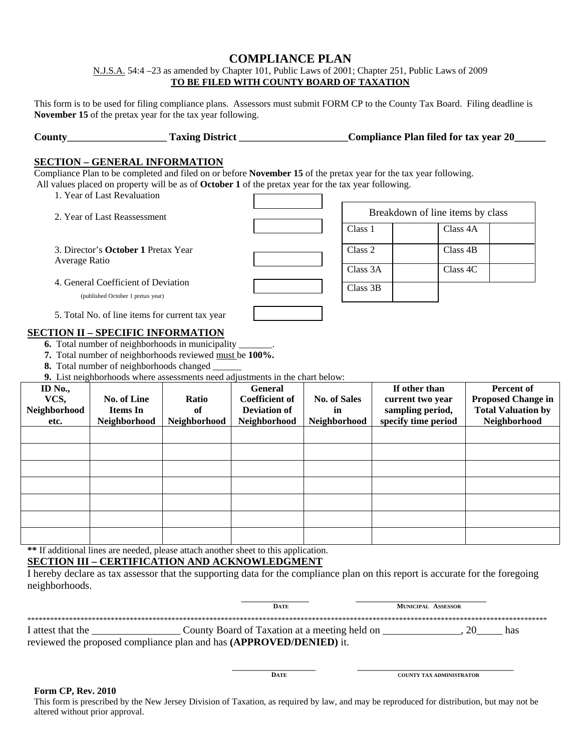# **COMPLIANCE PLAN**

N.J.S.A. 54:4 –23 as amended by Chapter 101, Public Laws of 2001; Chapter 251, Public Laws of 2009 **TO BE FILED WITH COUNTY BOARD OF TAXATION** 

This form is to be used for filing compliance plans. Assessors must submit FORM CP to the County Tax Board. Filing deadline is **November 15** of the pretax year for the tax year following.

| County | <b>Taxing District</b> | <b>Compliance Plan filed for tax year 20</b> |
|--------|------------------------|----------------------------------------------|
|        |                        |                                              |

## **SECTION – GENERAL INFORMATION**

Compliance Plan to be completed and filed on or before **November 15** of the pretax year for the tax year following. All values placed on property will be as of **October 1** of the pretax year for the tax year following.  $\Gamma$ 

1. Year of Last Revaluation

| 2. Year of Last Reassessment                                             |  |          | Breakdown of line items by class |  |  |
|--------------------------------------------------------------------------|--|----------|----------------------------------|--|--|
|                                                                          |  | Class 1  | Class 4A                         |  |  |
| 3. Director's <b>October 1</b> Pretax Year<br>Average Ratio              |  | Class 2  | Class 4B                         |  |  |
|                                                                          |  | Class 3A | Class 4C                         |  |  |
| 4. General Coefficient of Deviation<br>(published October 1 pretax year) |  | Class 3B |                                  |  |  |
| 5. Total No. of line items for current tax year                          |  |          |                                  |  |  |
| ^TION II = SPECIFIC INFORMATION                                          |  |          |                                  |  |  |

# **SECTION II – SPECIFIC INFORMATION**

**6.** Total number of neighborhoods in municipality \_

**7.** Total number of neighborhoods reviewed must be **100%.** 

**8.** Total number of neighborhoods changed

**9.** List neighborhoods where assessments need adjustments in the chart below:

| <b>ID</b> No., |              |              | <b>General</b>        |                     | If other than       | <b>Percent of</b>         |
|----------------|--------------|--------------|-----------------------|---------------------|---------------------|---------------------------|
| VCS,           | No. of Line  | Ratio        | <b>Coefficient of</b> | <b>No. of Sales</b> | current two year    | <b>Proposed Change in</b> |
| Neighborhood   | Items In     | of           | <b>Deviation of</b>   | in                  | sampling period,    | <b>Total Valuation by</b> |
| etc.           | Neighborhood | Neighborhood | Neighborhood          | Neighborhood        | specify time period | Neighborhood              |
|                |              |              |                       |                     |                     |                           |
|                |              |              |                       |                     |                     |                           |
|                |              |              |                       |                     |                     |                           |
|                |              |              |                       |                     |                     |                           |
|                |              |              |                       |                     |                     |                           |
|                |              |              |                       |                     |                     |                           |
|                |              |              |                       |                     |                     |                           |

**\*\*** If additional lines are needed, please attach another sheet to this application.

# **SECTION III – CERTIFICATION AND ACKNOWLEDGMENT**

I hereby declare as tax assessor that the supporting data for the compliance plan on this report is accurate for the foregoing neighborhoods.

|                                                                     | <b>DATE</b>                                   | <b>MUNICIPAL ASSESSOR</b> |     |
|---------------------------------------------------------------------|-----------------------------------------------|---------------------------|-----|
|                                                                     |                                               |                           |     |
| I attest that the                                                   | County Board of Taxation at a meeting held on |                           | has |
| reviewed the proposed compliance plan and has (APPROVED/DENIED) it. |                                               |                           |     |

 $\frac{1}{\sqrt{2\pi}}$  ,  $\frac{1}{\sqrt{2\pi}}$  ,  $\frac{1}{\sqrt{2\pi}}$  ,  $\frac{1}{\sqrt{2\pi}}$  ,  $\frac{1}{\sqrt{2\pi}}$  ,  $\frac{1}{\sqrt{2\pi}}$  ,  $\frac{1}{\sqrt{2\pi}}$  ,  $\frac{1}{\sqrt{2\pi}}$  ,  $\frac{1}{\sqrt{2\pi}}$  ,  $\frac{1}{\sqrt{2\pi}}$  ,  $\frac{1}{\sqrt{2\pi}}$  ,  $\frac{1}{\sqrt{2\pi}}$  ,  $\frac{1}{\sqrt{2\pi}}$  ,

# **Form CP, Rev. 2010 DATE** COUNTY TAX ADMINISTRATOR

This form is prescribed by the New Jersey Division of Taxation, as required by law, and may be reproduced for distribution, but may not be altered without prior approval.